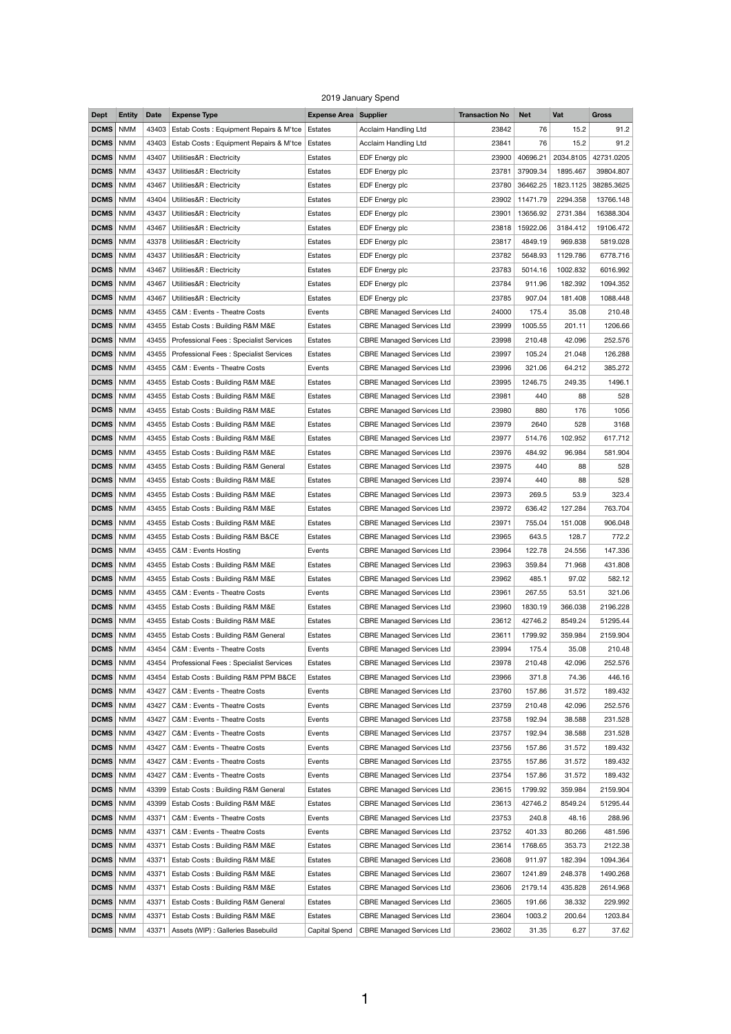## 2019 January Spend

| <b>Dept</b>       | <b>Entity</b> | <b>Date</b> | <b>Expense Type</b>                    | <b>Expense Area Supplier</b> |                                  | <b>Transaction No</b> | <b>Net</b> | Vat       | <b>Gross</b> |
|-------------------|---------------|-------------|----------------------------------------|------------------------------|----------------------------------|-----------------------|------------|-----------|--------------|
| <b>DCMS</b>       | <b>NMM</b>    | 43403       | Estab Costs: Equipment Repairs & M'tce | Estates                      | Acclaim Handling Ltd             | 23842                 | 76         | 15.2      | 91.2         |
| <b>DCMS</b>       | <b>NMM</b>    | 43403       | Estab Costs: Equipment Repairs & M'tce | Estates                      | Acclaim Handling Ltd             | 23841                 | 76         | 15.2      | 91.2         |
| <b>DCMS</b>       | <b>NMM</b>    | 43407       | Utilities&R : Electricity              | Estates                      | EDF Energy plc                   | 23900                 | 40696.21   | 2034.8105 | 42731.0205   |
| <b>DCMS</b>       | <b>NMM</b>    | 43437       | Utilities&R : Electricity              | Estates                      | EDF Energy plc                   | 23781                 | 37909.34   | 1895.467  | 39804.807    |
| <b>DCMS</b>       | <b>NMM</b>    | 43467       | Utilities&R: Electricity               | Estates                      | EDF Energy plc                   | 23780                 | 36462.25   | 1823.1125 | 38285.3625   |
| <b>DCMS</b>       | <b>NMM</b>    | 43404       | Utilities&R : Electricity              | Estates                      | EDF Energy plc                   | 23902                 | 11471.79   | 2294.358  | 13766.148    |
| <b>DCMS</b>       | <b>NMM</b>    | 43437       | Utilities&R : Electricity              | Estates                      | EDF Energy plc                   | 23901                 | 13656.92   | 2731.384  | 16388.304    |
| <b>DCMS</b>       | <b>NMM</b>    | 43467       |                                        |                              |                                  |                       |            | 3184.412  | 19106.472    |
|                   |               |             | Utilities&R : Electricity              | Estates                      | EDF Energy plc                   | 23818                 | 15922.06   |           |              |
| <b>DCMS</b>       | <b>NMM</b>    | 43378       | Utilities&R : Electricity              | Estates                      | EDF Energy plc                   | 23817                 | 4849.19    | 969.838   | 5819.028     |
| <b>DCMS</b>       | <b>NMM</b>    | 43437       | Utilities&R : Electricity              | Estates                      | EDF Energy plc                   | 23782                 | 5648.93    | 1129.786  | 6778.716     |
| <b>DCMS</b>       | <b>NMM</b>    | 43467       | Utilities&R : Electricity              | Estates                      | EDF Energy plc                   | 23783                 | 5014.16    | 1002.832  | 6016.992     |
| <b>DCMS</b>       | <b>NMM</b>    | 43467       | Utilities&R : Electricity              | Estates                      | EDF Energy plc                   | 23784                 | 911.96     | 182.392   | 1094.352     |
| <b>DCMS</b>       | <b>NMM</b>    | 43467       | Utilities&R : Electricity              | Estates                      | EDF Energy plc                   | 23785                 | 907.04     | 181.408   | 1088.448     |
| <b>DCMS</b>       | <b>NMM</b>    | 43455       | C&M : Events - Theatre Costs           | Events                       | <b>CBRE Managed Services Ltd</b> | 24000                 | 175.4      | 35.08     | 210.48       |
| <b>DCMS</b>       | <b>NMM</b>    | 43455       | Estab Costs: Building R&M M&E          | Estates                      | <b>CBRE Managed Services Ltd</b> | 23999                 | 1005.55    | 201.11    | 1206.66      |
| <b>DCMS</b>       | <b>NMM</b>    | 43455       | Professional Fees: Specialist Services | Estates                      | <b>CBRE Managed Services Ltd</b> | 23998                 | 210.48     | 42.096    | 252.576      |
| <b>DCMS</b>       | <b>NMM</b>    | 43455       | Professional Fees: Specialist Services | Estates                      | <b>CBRE Managed Services Ltd</b> | 23997                 | 105.24     | 21.048    | 126.288      |
| <b>DCMS</b>       | <b>NMM</b>    | 43455       | C&M : Events - Theatre Costs           | Events                       | <b>CBRE Managed Services Ltd</b> | 23996                 | 321.06     | 64.212    | 385.272      |
| <b>DCMS</b>       | <b>NMM</b>    | 43455       | Estab Costs: Building R&M M&E          | Estates                      | <b>CBRE Managed Services Ltd</b> | 23995                 | 1246.75    | 249.35    | 1496.1       |
| <b>DCMS</b>       | <b>NMM</b>    | 43455       | Estab Costs: Building R&M M&E          | Estates                      | <b>CBRE Managed Services Ltd</b> | 23981                 | 440        | 88        | 528          |
| <b>DCMS</b>       | <b>NMM</b>    | 43455       | Estab Costs: Building R&M M&E          | Estates                      | <b>CBRE Managed Services Ltd</b> | 23980                 | 880        | 176       | 1056         |
| <b>DCMS</b>       | <b>NMM</b>    | 43455       | Estab Costs: Building R&M M&E          | Estates                      | <b>CBRE Managed Services Ltd</b> | 23979                 | 2640       | 528       | 3168         |
| <b>DCMS</b>       | <b>NMM</b>    | 43455       | Estab Costs: Building R&M M&E          | Estates                      | <b>CBRE Managed Services Ltd</b> | 23977                 | 514.76     | 102.952   | 617.712      |
| <b>DCMS</b>       | <b>NMM</b>    | 43455       | Estab Costs: Building R&M M&E          | Estates                      | <b>CBRE Managed Services Ltd</b> | 23976                 | 484.92     | 96.984    | 581.904      |
| <b>DCMS</b>       | <b>NMM</b>    | 43455       | Estab Costs: Building R&M General      | Estates                      | <b>CBRE Managed Services Ltd</b> | 23975                 | 440        | 88        | 528          |
| <b>DCMS</b>       | <b>NMM</b>    | 43455       | Estab Costs: Building R&M M&E          | Estates                      | <b>CBRE Managed Services Ltd</b> | 23974                 | 440        | 88        | 528          |
| <b>DCMS</b>       | <b>NMM</b>    | 43455       | Estab Costs: Building R&M M&E          | Estates                      | <b>CBRE Managed Services Ltd</b> | 23973                 | 269.5      | 53.9      | 323.4        |
| <b>DCMS</b>       | <b>NMM</b>    | 43455       | Estab Costs: Building R&M M&E          | Estates                      | <b>CBRE Managed Services Ltd</b> | 23972                 | 636.42     | 127.284   | 763.704      |
| <b>DCMS</b>       | <b>NMM</b>    | 43455       | Estab Costs: Building R&M M&E          | Estates                      | <b>CBRE Managed Services Ltd</b> | 23971                 | 755.04     | 151.008   | 906.048      |
| <b>DCMS</b>       | <b>NMM</b>    | 43455       | Estab Costs: Building R&M B&CE         | Estates                      | <b>CBRE Managed Services Ltd</b> | 23965                 | 643.5      | 128.7     | 772.2        |
| <b>DCMS</b>       | <b>NMM</b>    | 43455       | C&M : Events Hosting                   | Events                       | <b>CBRE Managed Services Ltd</b> | 23964                 | 122.78     | 24.556    | 147.336      |
| <b>DCMS</b>       | <b>NMM</b>    | 43455       |                                        | Estates                      | <b>CBRE Managed Services Ltd</b> | 23963                 | 359.84     | 71.968    | 431.808      |
|                   |               |             | Estab Costs: Building R&M M&E          |                              |                                  |                       |            |           |              |
| <b>DCMS</b>       | <b>NMM</b>    | 43455       | Estab Costs: Building R&M M&E          | Estates                      | <b>CBRE Managed Services Ltd</b> | 23962                 | 485.1      | 97.02     | 582.12       |
| <b>DCMS</b>       | <b>NMM</b>    | 43455       | C&M : Events - Theatre Costs           | Events                       | <b>CBRE Managed Services Ltd</b> | 23961                 | 267.55     | 53.51     | 321.06       |
| <b>DCMS</b>       | <b>NMM</b>    | 43455       | Estab Costs: Building R&M M&E          | Estates                      | <b>CBRE Managed Services Ltd</b> | 23960                 | 1830.19    | 366.038   | 2196.228     |
| <b>DCMS</b>       | <b>NMM</b>    | 43455       | Estab Costs: Building R&M M&E          | Estates                      | <b>CBRE Managed Services Ltd</b> | 23612                 | 42746.2    | 8549.24   | 51295.44     |
| <b>DCMS</b>       | <b>NMM</b>    | 43455       | Estab Costs: Building R&M General      | Estates                      | <b>CBRE Managed Services Ltd</b> | 23611                 | 1799.92    | 359.984   | 2159.904     |
| <b>DCMS</b>       | <b>NMM</b>    | 43454       | C&M : Events - Theatre Costs           | Events                       | <b>CBRE Managed Services Ltd</b> | 23994                 | 175.4      | 35.08     | 210.48       |
| <b>DCMS</b>       | <b>NMM</b>    | 43454       | Professional Fees: Specialist Services | Estates                      | <b>CBRE Managed Services Ltd</b> | 23978                 | 210.48     | 42.096    | 252.576      |
| <b>DCMS</b>       | <b>NMM</b>    | 43454       | Estab Costs: Building R&M PPM B&CE     | Estates                      | <b>CBRE Managed Services Ltd</b> | 23966                 | 371.8      | 74.36     | 446.16       |
| <b>DCMS</b>       | <b>NMM</b>    | 43427       | C&M : Events - Theatre Costs           | Events                       | <b>CBRE Managed Services Ltd</b> | 23760                 | 157.86     | 31.572    | 189.432      |
| <b>DCMS</b>       | <b>NMM</b>    | 43427       | C&M : Events - Theatre Costs           | Events                       | <b>CBRE Managed Services Ltd</b> | 23759                 | 210.48     | 42.096    | 252.576      |
| <b>DCMS</b>       | <b>NMM</b>    | 43427       | C&M : Events - Theatre Costs           | Events                       | <b>CBRE Managed Services Ltd</b> | 23758                 | 192.94     | 38.588    | 231.528      |
| <b>DCMS</b>   NMM |               | 43427       | C&M : Events - Theatre Costs           | Events                       | <b>CBRE Managed Services Ltd</b> | 23757                 | 192.94     | 38.588    | 231.528      |
| <b>DCMS</b>       | <b>NMM</b>    | 43427       | C&M : Events - Theatre Costs           | Events                       | <b>CBRE Managed Services Ltd</b> | 23756                 | 157.86     | 31.572    | 189.432      |
| <b>DCMS</b>       | <b>NMM</b>    | 43427       | C&M : Events - Theatre Costs           | Events                       | <b>CBRE Managed Services Ltd</b> | 23755                 | 157.86     | 31.572    | 189.432      |
| <b>DCMS</b>       | <b>NMM</b>    | 43427       | C&M : Events - Theatre Costs           | Events                       | <b>CBRE Managed Services Ltd</b> | 23754                 | 157.86     | 31.572    | 189.432      |
| <b>DCMS</b>       | <b>NMM</b>    | 43399       | Estab Costs: Building R&M General      | Estates                      | <b>CBRE Managed Services Ltd</b> | 23615                 | 1799.92    | 359.984   | 2159.904     |
| <b>DCMS</b>       | <b>NMM</b>    | 43399       | Estab Costs: Building R&M M&E          | Estates                      | <b>CBRE Managed Services Ltd</b> | 23613                 | 42746.2    | 8549.24   | 51295.44     |
| <b>DCMS</b>       | <b>NMM</b>    | 43371       | C&M : Events - Theatre Costs           | Events                       | <b>CBRE Managed Services Ltd</b> | 23753                 | 240.8      | 48.16     | 288.96       |
| <b>DCMS</b>       | <b>NMM</b>    | 43371       | C&M : Events - Theatre Costs           | Events                       | <b>CBRE Managed Services Ltd</b> | 23752                 | 401.33     | 80.266    | 481.596      |
| <b>DCMS</b>       | <b>NMM</b>    | 43371       | Estab Costs: Building R&M M&E          | Estates                      | <b>CBRE Managed Services Ltd</b> | 23614                 | 1768.65    | 353.73    | 2122.38      |
| <b>DCMS</b>       | <b>NMM</b>    | 43371       | Estab Costs: Building R&M M&E          | Estates                      | <b>CBRE Managed Services Ltd</b> | 23608                 | 911.97     | 182.394   | 1094.364     |
| <b>DCMS</b>       | <b>NMM</b>    | 43371       | Estab Costs: Building R&M M&E          | Estates                      | <b>CBRE Managed Services Ltd</b> | 23607                 | 1241.89    | 248.378   | 1490.268     |
| <b>DCMS</b>       | <b>NMM</b>    | 43371       | Estab Costs: Building R&M M&E          | Estates                      | <b>CBRE Managed Services Ltd</b> | 23606                 | 2179.14    | 435.828   | 2614.968     |
| <b>DCMS</b>       | <b>NMM</b>    | 43371       | Estab Costs: Building R&M General      | Estates                      | <b>CBRE Managed Services Ltd</b> | 23605                 | 191.66     | 38.332    | 229.992      |
| <b>DCMS</b>       | <b>NMM</b>    | 43371       | Estab Costs: Building R&M M&E          | Estates                      | <b>CBRE Managed Services Ltd</b> | 23604                 | 1003.2     | 200.64    | 1203.84      |
| <b>DCMS</b>       | <b>NMM</b>    | 43371       | Assets (WIP) : Galleries Basebuild     | Capital Spend                | <b>CBRE Managed Services Ltd</b> | 23602                 | 31.35      | 6.27      | 37.62        |
|                   |               |             |                                        |                              |                                  |                       |            |           |              |

1